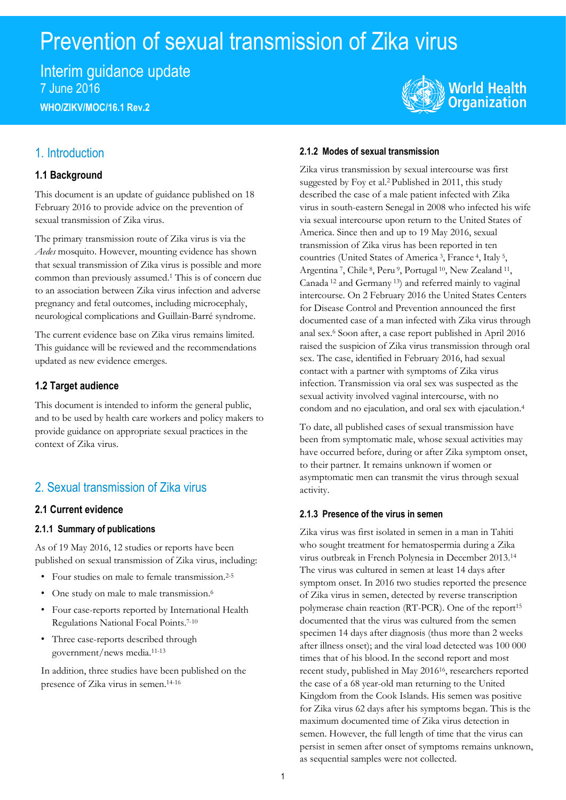# Prevention of sexual transmission of Zika virus

Interim guidance update 7 June 2016 **WHO/ZIKV/MOC/16.1 Rev.2**



### 1. Introduction

### **1.1 Background**

This document is an update of guidance published on 18 February 2016 to provide advice on the prevention of sexual transmission of Zika virus.

The primary transmission route of Zika virus is via the *Aedes* mosquito. However, mounting evidence has shown that sexual transmission of Zika virus is possible and more common than previously assumed. <sup>1</sup> This is of concern due to an association between Zika virus infection and adverse pregnancy and fetal outcomes, including microcephaly, neurological complications and Guillain-Barré syndrome.

The current evidence base on Zika virus remains limited. This guidance will be reviewed and the recommendations updated as new evidence emerges.

### **1.2 Target audience**

This document is intended to inform the general public, and to be used by health care workers and policy makers to provide guidance on appropriate sexual practices in the context of Zika virus.

# 2. Sexual transmission of Zika virus

### **2.1 Current evidence**

### **2.1.1 Summary of publications**

As of 19 May 2016, 12 studies or reports have been published on sexual transmission of Zika virus, including:

- Four studies on male to female transmission. 2-5
- One study on male to male transmission. 6
- Four case-reports reported by International Health Regulations National Focal Points. 7-10
- Three case-reports described through government/news media. 11-13

In addition, three studies have been published on the presence of Zika virus in semen. 14-16

### **2.1.2 Modes of sexual transmission**

Zika virus transmission by sexual intercourse was first suggested by Foy et al.<sup>2</sup> Published in 2011, this study described the case of a male patient infected with Zika virus in south-eastern Senegal in 2008 who infected his wife via sexual intercourse upon return to the United States of America. Since then and up to 19 May 2016, sexual transmission of Zika virus has been reported in ten countries (United States of America<sup>3</sup>, France<sup>4</sup>, Italy<sup>5</sup>, Argentina<sup>7</sup>, Chile<sup>8</sup>, Peru<sup>9</sup>, Portugal<sup>10</sup>, New Zealand<sup>11</sup>, Canada <sup>12</sup> and Germany <sup>13</sup>) and referred mainly to vaginal intercourse. On 2 February 2016 the United States Centers for Disease Control and Prevention announced the first documented case of a man infected with Zika virus through anal sex.<sup>6</sup> Soon after, a case report published in April 2016 raised the suspicion of Zika virus transmission through oral sex. The case, identified in February 2016, had sexual contact with a partner with symptoms of Zika virus infection. Transmission via oral sex was suspected as the sexual activity involved vaginal intercourse, with no condom and no ejaculation, and oral sex with ejaculation. 4

To date, all published cases of sexual transmission have been from symptomatic male, whose sexual activities may have occurred before, during or after Zika symptom onset, to their partner. It remains unknown if women or asymptomatic men can transmit the virus through sexual activity.

#### **2.1.3 Presence of the virus in semen**

Zika virus was first isolated in semen in a man in Tahiti who sought treatment for hematospermia during a Zika virus outbreak in French Polynesia in December 2013. 14 The virus was cultured in semen at least 14 days after symptom onset. In 2016 two studies reported the presence of Zika virus in semen, detected by reverse transcription polymerase chain reaction (RT-PCR). One of the report<sup>15</sup> documented that the virus was cultured from the semen specimen 14 days after diagnosis (thus more than 2 weeks after illness onset); and the viral load detected was 100 000 times that of his blood.In the second report and most recent study, published in May 2016<sup>16</sup>, researchers reported the case of a 68 year-old man returning to the United Kingdom from the Cook Islands. His semen was positive for Zika virus 62 days after his symptoms began. This is the maximum documented time of Zika virus detection in semen. However, the full length of time that the virus can persist in semen after onset of symptoms remains unknown, as sequential samples were not collected.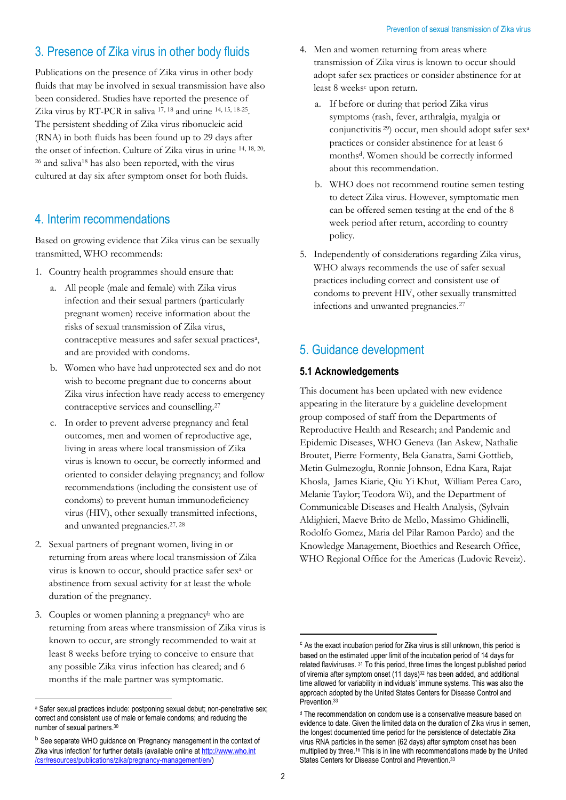# 3. Presence of Zika virus in other body fluids

Publications on the presence of Zika virus in other body fluids that may be involved in sexual transmission have also been considered. Studies have reported the presence of Zika virus by RT-PCR in saliva <sup>17, 18</sup> and urine <sup>14, 15, 18-25</sup>. The persistent shedding of Zika virus ribonucleic acid (RNA) in both fluids has been found up to 29 days after the onset of infection. Culture of Zika virus in urine 14, 18, 20, <sup>26</sup> and saliva<sup>18</sup> has also been reported, with the virus cultured at day six after symptom onset for both fluids.

## 4. Interim recommendations

Based on growing evidence that Zika virus can be sexually transmitted, WHO recommends:

- 1. Country health programmes should ensure that:
	- a. All people (male and female) with Zika virus infection and their sexual partners (particularly pregnant women) receive information about the risks of sexual transmission of Zika virus, contraceptive measures and safer sexual practices<sup>a</sup>, and are provided with condoms.
	- b. Women who have had unprotected sex and do not wish to become pregnant due to concerns about Zika virus infection have ready access to emergency contraceptive services and counselling.<sup>27</sup>
	- c. In order to prevent adverse pregnancy and fetal outcomes, men and women of reproductive age, living in areas where local transmission of Zika virus is known to occur, be correctly informed and oriented to consider delaying pregnancy; and follow recommendations (including the consistent use of condoms) to prevent human immunodeficiency virus (HIV), other sexually transmitted infections, and unwanted pregnancies.27, 28
- 2. Sexual partners of pregnant women, living in or returning from areas where local transmission of Zika virus is known to occur, should practice safer se[x](#page-1-0)<sup>a</sup> or abstinence from sexual activity for at least the whole duration of the pregnancy.
- 3. Couples or women planning a pregnancy<sup>b</sup> who are returning from areas where transmission of Zika virus is known to occur, are strongly recommended to wait at least 8 weeks before trying to conceive to ensure that any possible Zika virus infection has cleared; and 6 months if the male partner was symptomatic.
- 4. Men and women returning from areas where transmission of Zika virus is known to occur should adopt safer sex practices or consider abstinence for at least 8 weeks<sup>c</sup> upon return.
	- a. If before or during that period Zika virus symptoms (rash, fever, arthralgia, myalgia or conjunctivitis <sup>29</sup>) occur, men should adopt safer sex<sup>a</sup> practices or consider abstinence for at least 6 monthsd. Women should be correctly informed about this recommendation.
	- b. WHO does not recommend routine semen testing to detect Zika virus. However, symptomatic men can be offered semen testing at the end of the 8 week period after return, according to country policy.
- 5. Independently of considerations regarding Zika virus, WHO always recommends the use of safer sexual practices including correct and consistent use of condoms to prevent HIV, other sexually transmitted infections and unwanted pregnancies. 27

# <span id="page-1-0"></span>5. Guidance development

### **5.1 Acknowledgements**

This document has been updated with new evidence appearing in the literature by a guideline development group composed of staff from the Departments of Reproductive Health and Research; and Pandemic and Epidemic Diseases, WHO Geneva (Ian Askew, Nathalie Broutet, Pierre Formenty, Bela Ganatra, Sami Gottlieb, Metin Gulmezoglu, Ronnie Johnson, Edna Kara, Rajat Khosla, James Kiarie, Qiu Yi Khut, William Perea Caro, Melanie Taylor; Teodora Wi), and the Department of Communicable Diseases and Health Analysis, (Sylvain Aldighieri, Maeve Brito de Mello, Massimo Ghidinelli, Rodolfo Gomez, Maria del Pilar Ramon Pardo) and the Knowledge Management, Bioethics and Research Office, WHO Regional Office for the Americas (Ludovic Reveiz).

1

l a Safer sexual practices include: postponing sexual debut; non-penetrative sex; correct and consistent use of male or female condoms; and reducing the number of sexual partners. 30

b See separate WHO guidance on 'Pregnancy management in the context of Zika virus infection' for further details (available online a[t http://www.who.int](http://www.who.int/csr/resources/publications/zika/pregnancy-management/en/) [/csr/resources/publications/zika/pregnancy-management/en/\)](http://www.who.int/csr/resources/publications/zika/pregnancy-management/en/)

 $\epsilon$  As the exact incubation period for Zika virus is still unknown, this period is based on the estimated upper limit of the incubation period of 14 days for related flaviviruses. <sup>31</sup> To this period, three times the longest published period of viremia after symptom onset (11 days)<sup>32</sup> has been added, and additional time allowed for variability in individuals' immune systems. This was also the approach adopted by the United States Centers for Disease Control and Prevention. 33

<sup>d</sup> The recommendation on condom use is a conservative measure based on evidence to date. Given the limited data on the duration of Zika virus in semen, the longest documented time period for the persistence of detectable Zika virus RNA particles in the semen (62 days) after symptom onset has been multiplied by three.<sup>16</sup> This is in line with recommendations made by the United States Centers for Disease Control and Prevention.<sup>33</sup>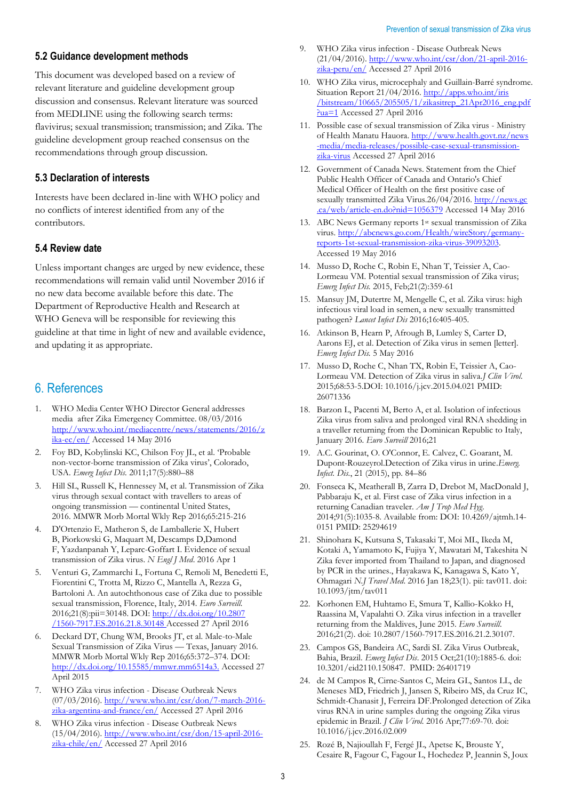#### **5.2 Guidance development methods**

This document was developed based on a review of relevant literature and guideline development group discussion and consensus. Relevant literature was sourced from MEDLINE using the following search terms: flavivirus; sexual transmission; transmission; and Zika. The guideline development group reached consensus on the recommendations through group discussion.

#### **5.3 Declaration of interests**

Interests have been declared in-line with WHO policy and no conflicts of interest identified from any of the contributors.

#### **5.4 Review date**

Unless important changes are urged by new evidence, these recommendations will remain valid until November 2016 if no new data become available before this date. The Department of Reproductive Health and Research at WHO Geneva will be responsible for reviewing this guideline at that time in light of new and available evidence, and updating it as appropriate.

### 6. References

- 1. WHO Media Center WHO Director General addresses media after Zika Emergency Committee. 08/03/2016 [http://www.who.int/mediacentre/news/statements/2016/z](http://www.who.int/mediacentre/news/statements/2016/zika-ec/en/) [ika-ec/en/](http://www.who.int/mediacentre/news/statements/2016/zika-ec/en/) Accessed 14 May 2016
- 2. Foy BD, Kobylinski KC, Chilson Foy JL, et al. 'Probable non-vector-borne transmission of Zika virus', Colorado, USA. *Emerg Infect Dis.* 2011;17(5):880–88
- 3. Hill SL, Russell K, Hennessey M, et al. Transmission of Zika virus through sexual contact with travellers to areas of ongoing transmission — continental United States, 2016. MMWR Morb Mortal Wkly Rep 2016;65:215-216
- 4. D'Ortenzio E, Matheron S, de Lamballerie X, Hubert B, Piorkowski G, Maquart M, Descamps D,Damond F, Yazdanpanah Y, Leparc-Goffart I. Evidence of sexual transmission of Zika virus. *N Engl J Med*. 2016 Apr 1
- 5. Venturi G, Zammarchi L, Fortuna C, Remoli M, Benedetti E, Fiorentini C, Trotta M, Rizzo C, Mantella A, Rezza G, Bartoloni A. An autochthonous case of Zika due to possible sexual transmission, Florence, Italy, 2014. *Euro Surveill.* 2016;21(8):pii=30148. DOI: [http://dx.doi.org/10.2807](http://dx.doi.org/10.2807‌/1560-7917.ES.2016.21.8.30148) [/1560-7917.ES.2016.21.8.30148](http://dx.doi.org/10.2807‌/1560-7917.ES.2016.21.8.30148) Accessed 27 April 2016
- Deckard DT, Chung WM, Brooks JT, et al. Male-to-Male Sexual Transmission of Zika Virus — Texas, January 2016. MMWR Morb Mortal Wkly Rep 2016;65:372–374. DOI: <http://dx.doi.org/10.15585/mmwr.mm6514a3.> Accessed 27 April 2015
- 7. WHO Zika virus infection Disease Outbreak News (07/03/2016). [http://www.who.int/csr/don/7-march-2016](http://www.who.int/csr/don/7-march-2016-zika-argentina-and-france/en/) [zika-argentina-and-france/en/](http://www.who.int/csr/don/7-march-2016-zika-argentina-and-france/en/) Accessed 27 April 2016
- 8. WHO Zika virus infection Disease Outbreak News (15/04/2016). [http://www.who.int/csr/don/15-april-2016](http://www.who.int/csr/don/15-april-2016-zika-chile/en/) [zika-chile/en/](http://www.who.int/csr/don/15-april-2016-zika-chile/en/) Accessed 27 April 2016
- 9. WHO Zika virus infection Disease Outbreak News (21/04/2016). [http://www.who.int/csr/don/21-april-2016](http://www.who.int/csr/don/21-april-2016-zika-peru/en/) [zika-peru/en/](http://www.who.int/csr/don/21-april-2016-zika-peru/en/) Accessed 27 April 2016
- 10. WHO Zika virus, microcephaly and Guillain-Barré syndrome. Situation Report 21/04/2016[. http://apps.who.int/iris](http://apps.who.int/iris‌/bitstream/10665/205505/1/zikasitrep_21Apr2016_eng.pdf?ua=1) [/bitstream/10665/205505/1/zikasitrep\\_21Apr2016\\_eng.pdf](http://apps.who.int/iris‌/bitstream/10665/205505/1/zikasitrep_21Apr2016_eng.pdf?ua=1) [?ua=1](http://apps.who.int/iris‌/bitstream/10665/205505/1/zikasitrep_21Apr2016_eng.pdf?ua=1) Accessed 27 April 2016
- 11. Possible case of sexual transmission of Zika virus Ministry of Health Manatu Hauora. [http://www.health.govt.nz/news](http://www.health.govt.nz/news-media/media-releases/possible-case-sexual-transmission-zika-virus) [-media/media-releases/possible-case-sexual-transmission](http://www.health.govt.nz/news-media/media-releases/possible-case-sexual-transmission-zika-virus)[zika-virus](http://www.health.govt.nz/news-media/media-releases/possible-case-sexual-transmission-zika-virus) Accessed 27 April 2016
- 12. Government of Canada News. Statement from the Chief Public Health Officer of Canada and Ontario's Chief Medical Officer of Health on the first positive case of sexually transmitted Zika Virus.26/04/2016. [http://news.gc](http://news.gc.ca/web/article-en.do?nid=1056379) [.ca/web/article-en.do?nid=1056379](http://news.gc.ca/web/article-en.do?nid=1056379) Accessed 14 May 2016
- 13. ABC News Germany reports 1st sexual transmission of Zika virus[. http://abcnews.go.com/Health/wireStory/germany](http://abcnews.go.com/Health/wireStory/germany-reports-1st-sexual-transmission-zika-virus-39093203)[reports-1st-sexual-transmission-zika-virus-39093203.](http://abcnews.go.com/Health/wireStory/germany-reports-1st-sexual-transmission-zika-virus-39093203)  Accessed 19 May 2016
- 14. Musso D, Roche C, Robin E, Nhan T, Teissier A, Cao-Lormeau VM. Potential sexual transmission of Zika virus; *Emerg Infect Dis.* 2015, Feb;21(2):359-61
- 15. Mansuy JM, Dutertre M, Mengelle C, et al. Zika virus: high infectious viral load in semen, a new sexually transmitted pathogen? *Lancet Infect Dis* 2016;16:405-405.
- 16. Atkinson B, Hearn P, Afrough B, Lumley S, Carter D, Aarons EJ, et al. Detection of Zika virus in semen [letter]. *Emerg Infect Dis.* 5 May 2016
- 17. Musso D, Roche C, Nhan TX, Robin E, Teissier A, Cao-Lormeau VM. Detection of Zika virus in saliva.*J Clin Virol*. 2015;68:53-5.DOI: 10.1016/j.jcv.2015.04.021 PMID: 26071336
- 18. Barzon L, Pacenti M, Berto A, et al. Isolation of infectious Zika virus from saliva and prolonged viral RNA shedding in a traveller returning from the Dominican Republic to Italy, January 2016. *Euro Surveill* 2016;21
- 19. A.C. Gourinat, O. O'Connor, E. Calvez, C. Goarant, M. Dupont-Rouzeyrol.Detection of Zika virus in urine.*Emerg. Infect. Dis.*, 21 (2015), pp. 84–86
- 20. Fonseca K, Meatherall B, Zarra D, Drebot M, MacDonald J, Pabbaraju K, et al. First case of Zika virus infection in a returning Canadian traveler. *Am J Trop Med Hyg*. 2014;91(5):1035-8. Available from: DOI: 10.4269/ajtmh.14- 0151 PMID: 25294619
- 21. Shinohara K, Kutsuna S, Takasaki T, Moi ML, Ikeda M, Kotaki A, Yamamoto K, Fujiya Y, Mawatari M, Takeshita N [Zika fever imported from Thailand to Japan, and diagnosed](https://www.ncbi.nlm.nih.gov/pubmed/26782128)  [by PCR in the urines.,](https://www.ncbi.nlm.nih.gov/pubmed/26782128) Hayakawa K, Kanagawa S, Kato Y, Ohmagari *N.J Travel Med*. 2016 Jan 18;23(1). pii: tav011. doi: 10.1093/jtm/tav011
- 22. Korhonen EM, Huhtamo E, Smura T, Kallio-Kokko H, Raassina M, Vapalahti O[. Zika virus infection in a traveller](https://www.ncbi.nlm.nih.gov/pubmed/26794427)  [returning from the Maldives, June 2015.](https://www.ncbi.nlm.nih.gov/pubmed/26794427) *Euro Surveill*. 2016;21(2). doi: 10.2807/1560-7917.ES.2016.21.2.30107.
- 23. Campos GS, Bandeira AC, Sardi SI. [Zika Virus Outbreak,](https://www.ncbi.nlm.nih.gov/pubmed/26401719)  [Bahia, Brazil.](https://www.ncbi.nlm.nih.gov/pubmed/26401719) *Emerg Infect Dis*. 2015 Oct;21(10):1885-6. doi: 10.3201/eid2110.150847. PMID: 26401719
- 24. de M Campos R, Cirne-Santos C, Meira GL, Santos LL, de Meneses MD, Friedrich J, Jansen S, Ribeiro MS, da Cruz IC, Schmidt-Chanasit J, Ferreira D[F.Prolonged detection of Zika](https://www.ncbi.nlm.nih.gov/pubmed/26921737)  [virus RNA in urine samples during the ongoing Zika virus](https://www.ncbi.nlm.nih.gov/pubmed/26921737)  [epidemic in Brazil.](https://www.ncbi.nlm.nih.gov/pubmed/26921737) *J Clin Virol.* 2016 Apr;77:69-70. doi: 10.1016/j.jcv.2016.02.009
- 25. Rozé B, Najioullah F, Fergé JL, Apetse K, Brouste Y, Cesaire R, Fagour C, Fagour L, Hochedez P, Jeannin S, Joux